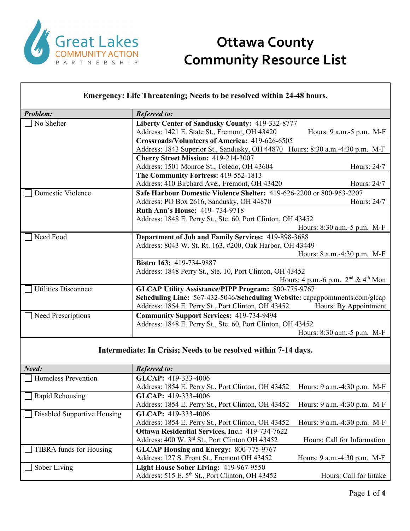

| <b>Problem:</b>             | <b>Referred to:</b>                                                           |                                                     |  |
|-----------------------------|-------------------------------------------------------------------------------|-----------------------------------------------------|--|
| No Shelter                  | Liberty Center of Sandusky County: 419-332-8777                               |                                                     |  |
|                             | Address: 1421 E. State St., Fremont, OH 43420                                 | Hours: 9 a.m. - 5 p.m. M-F                          |  |
|                             | Crossroads/Volunteers of America: 419-626-6505                                |                                                     |  |
|                             | Address: 1843 Superior St., Sandusky, OH 44870 Hours: 8:30 a.m.-4:30 p.m. M-F |                                                     |  |
|                             | Cherry Street Mission: 419-214-3007                                           |                                                     |  |
|                             | Address: 1501 Monroe St., Toledo, OH 43604                                    | Hours: $24/7$                                       |  |
|                             | The Community Fortress: 419-552-1813                                          |                                                     |  |
|                             | Address: 410 Birchard Ave., Fremont, OH 43420                                 | Hours: 24/7                                         |  |
| Domestic Violence           | Safe Harbour Domestic Violence Shelter: 419-626-2200 or 800-953-2207          |                                                     |  |
|                             | Address: PO Box 2616, Sandusky, OH 44870                                      | Hours: 24/7                                         |  |
|                             | <b>Ruth Ann's House: 419-734-9718</b>                                         |                                                     |  |
|                             | Address: 1848 E. Perry St., Ste. 60, Port Clinton, OH 43452                   |                                                     |  |
|                             |                                                                               | Hours: 8:30 a.m. - 5 p.m. M-F                       |  |
| Need Food                   |                                                                               | Department of Job and Family Services: 419-898-3688 |  |
|                             | Address: 8043 W. St. Rt. 163, #200, Oak Harbor, OH 43449                      |                                                     |  |
|                             |                                                                               | Hours: 8 a.m.-4:30 p.m. M-F                         |  |
|                             | Bistro 163: 419-734-9887                                                      |                                                     |  |
|                             | Address: 1848 Perry St., Ste. 10, Port Clinton, OH 43452                      |                                                     |  |
|                             |                                                                               | Hours: 4 p.m. -6 p.m. $2nd$ & 4 <sup>th</sup> Mon   |  |
| <b>Utilities Disconnect</b> | <b>GLCAP Utility Assistance/PIPP Program: 800-775-9767</b>                    |                                                     |  |
|                             | Scheduling Line: 567-432-5046/Scheduling Website: capappointments.com/glcap   |                                                     |  |
|                             | Address: 1854 E. Perry St., Port Clinton, OH 43452                            | Hours: By Appointment                               |  |
| <b>Need Prescriptions</b>   | <b>Community Support Services: 419-734-9494</b>                               |                                                     |  |
|                             | Address: 1848 E. Perry St., Ste. 60, Port Clinton, OH 43452                   |                                                     |  |
|                             |                                                                               | Hours: 8:30 a.m. - 5 p.m. M-F                       |  |

#### **Intermediate: In Crisis; Needs to be resolved within 7-14 days.**

| Need:                              | <b>Referred to:</b>                                    |                                  |
|------------------------------------|--------------------------------------------------------|----------------------------------|
| Homeless Prevention                | GLCAP: 419-333-4006                                    |                                  |
|                                    | Address: 1854 E. Perry St., Port Clinton, OH 43452     | Hours: 9 a.m. -4:30 p.m. M-F     |
| $\Box$ Rapid Rehousing             | GLCAP: 419-333-4006                                    |                                  |
|                                    | Address: 1854 E. Perry St., Port Clinton, OH 43452     | Hours: 9 a.m. -4:30 p.m. M-F     |
| $\Box$ Disabled Supportive Housing | GLCAP: 419-333-4006                                    |                                  |
|                                    | Address: 1854 E. Perry St., Port Clinton, OH 43452     | Hours: 9 a.m. -4:30 p.m. M-F     |
|                                    | <b>Ottawa Residential Services, Inc.: 419-734-7622</b> |                                  |
|                                    | Address: 400 W. 3rd St., Port Clinton OH 43452         | Hours: Call for Information      |
| TIBRA funds for Housing            | <b>GLCAP Housing and Energy: 800-775-9767</b>          |                                  |
|                                    | Address: 127 S. Front St., Fremont OH 43452            | Hours: $9$ a.m. $-4:30$ p.m. M-F |
| Sober Living                       | Light House Sober Living: 419-967-9550                 |                                  |
|                                    | Address: 515 E. 5th St., Port Clinton, OH 43452        | Hours: Call for Intake           |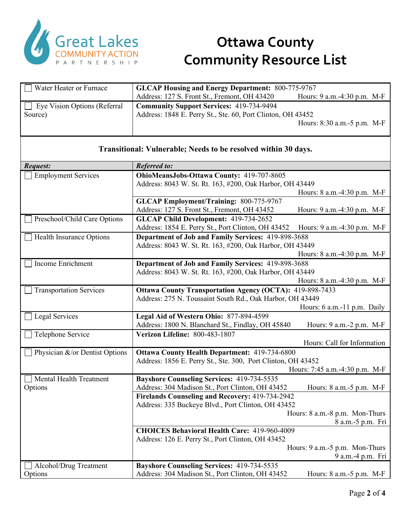

| Water Heater or Furnace                                        | <b>GLCAP Housing and Energy Department: 800-775-9767</b>        |                                                     |
|----------------------------------------------------------------|-----------------------------------------------------------------|-----------------------------------------------------|
|                                                                | Address: 127 S. Front St., Fremont, OH 43420                    | Hours: 9 a.m.-4:30 p.m. M-F                         |
| Eye Vision Options (Referral                                   | <b>Community Support Services: 419-734-9494</b>                 |                                                     |
| Source)                                                        | Address: 1848 E. Perry St., Ste. 60, Port Clinton, OH 43452     |                                                     |
|                                                                |                                                                 | Hours: 8:30 a.m.-5 p.m. M-F                         |
|                                                                |                                                                 |                                                     |
| Transitional: Vulnerable; Needs to be resolved within 30 days. |                                                                 |                                                     |
|                                                                |                                                                 |                                                     |
| Request:                                                       | <b>Referred to:</b>                                             |                                                     |
| <b>Employment Services</b>                                     | OhioMeansJobs-Ottawa County: 419-707-8605                       |                                                     |
|                                                                | Address: 8043 W. St. Rt. 163, #200, Oak Harbor, OH 43449        |                                                     |
|                                                                |                                                                 | Hours: 8 a.m.-4:30 p.m. M-F                         |
|                                                                | <b>GLCAP Employment/Training: 800-775-9767</b>                  |                                                     |
|                                                                | Address: 127 S. Front St., Fremont, OH 43452                    | Hours: 9 a.m.-4:30 p.m. M-F                         |
| Preschool/Child Care Options                                   | GLCAP Child Development: 419-734-2652                           |                                                     |
|                                                                | Address: 1854 E. Perry St., Port Clinton, OH 43452              | Hours: 9 a.m.-4:30 p.m. M-F                         |
| Health Insurance Options                                       | Department of Job and Family Services: 419-898-3688             |                                                     |
|                                                                | Address: 8043 W. St. Rt. 163, #200, Oak Harbor, OH 43449        |                                                     |
|                                                                |                                                                 | Hours: 8 a.m.-4:30 p.m. M-F                         |
| Income Enrichment                                              | Department of Job and Family Services: 419-898-3688             |                                                     |
|                                                                | Address: 8043 W. St. Rt. 163, #200, Oak Harbor, OH 43449        |                                                     |
|                                                                |                                                                 | Hours: 8 a.m.-4:30 p.m. M-F                         |
| <b>Transportation Services</b>                                 | <b>Ottawa County Transportation Agency (OCTA): 419-898-7433</b> |                                                     |
|                                                                | Address: 275 N. Toussaint South Rd., Oak Harbor, OH 43449       |                                                     |
|                                                                |                                                                 | Hours: 6 a.m.-11 p.m. Daily                         |
| Legal Services                                                 | Legal Aid of Western Ohio: 877-894-4599                         |                                                     |
|                                                                | Address: 1800 N. Blanchard St., Findlay, OH 45840               | Hours: 9 a.m.-2 p.m. M-F                            |
| Telephone Service                                              | Verizon Lifeline: 800-483-1807                                  |                                                     |
|                                                                |                                                                 | Hours: Call for Information                         |
| Physician &/or Dentist Options                                 | <b>Ottawa County Health Department: 419-734-6800</b>            |                                                     |
|                                                                | Address: 1856 E. Perry St., Ste. 300, Port Clinton, OH 43452    |                                                     |
|                                                                |                                                                 | Hours: 7:45 a.m.-4:30 p.m. M-F                      |
| Mental Health Treatment                                        | <b>Bayshore Counseling Services: 419-734-5535</b>               |                                                     |
| Options                                                        | Address: 304 Madison St., Port Clinton, OH 43452                | Hours: 8 a.m.-5 p.m. M-F                            |
|                                                                | Firelands Counseling and Recovery: 419-734-2942                 |                                                     |
|                                                                | Address: 335 Buckeye Blvd., Port Clinton, OH 43452              |                                                     |
|                                                                |                                                                 | Hours: 8 a.m.-8 p.m. Mon-Thurs                      |
|                                                                |                                                                 | 8 a.m.-5 p.m. Fri                                   |
|                                                                | <b>CHOICES Behavioral Health Care: 419-960-4009</b>             |                                                     |
|                                                                | Address: 126 E. Perry St., Port Clinton, OH 43452               |                                                     |
|                                                                |                                                                 | Hours: 9 a.m.-5 p.m. Mon-Thurs<br>9 a.m.-4 p.m. Fri |
|                                                                | <b>Bayshore Counseling Services: 419-734-5535</b>               |                                                     |
| Alcohol/Drug Treatment<br>Options                              | Address: 304 Madison St., Port Clinton, OH 43452                | Hours: 8 a.m.-5 p.m. M-F                            |
|                                                                |                                                                 |                                                     |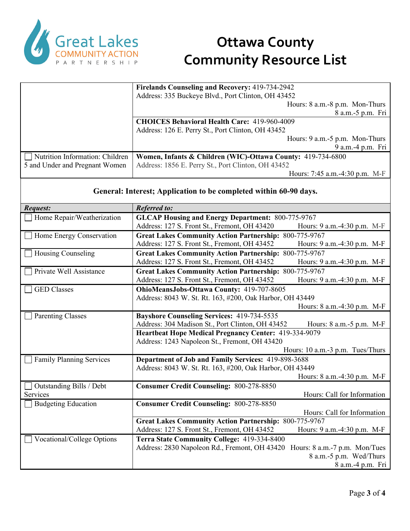

|                                 | Firelands Counseling and Recovery: 419-734-2942             |
|---------------------------------|-------------------------------------------------------------|
|                                 | Address: 335 Buckeye Blvd., Port Clinton, OH 43452          |
|                                 | Hours: 8 a.m.-8 p.m. Mon-Thurs                              |
|                                 | 8 a.m.-5 p.m. Fri                                           |
|                                 | <b>CHOICES Behavioral Health Care: 419-960-4009</b>         |
|                                 | Address: 126 E. Perry St., Port Clinton, OH 43452           |
|                                 | Hours: 9 a.m.-5 p.m. Mon-Thurs                              |
|                                 | 9 a.m.-4 p.m. Fri                                           |
| Nutrition Information: Children | Women, Infants & Children (WIC)-Ottawa County: 419-734-6800 |
| 5 and Under and Pregnant Women  | Address: 1856 E. Perry St., Port Clinton, OH 43452          |
|                                 | Hours: 7:45 a.m.-4:30 p.m. M-F                              |

#### **General: Interest; Application to be completed within 60-90 days.**

| <b>Request:</b>                 | <b>Referred to:</b>                                                            |
|---------------------------------|--------------------------------------------------------------------------------|
| Home Repair/Weatherization      | <b>GLCAP Housing and Energy Department: 800-775-9767</b>                       |
|                                 | Address: 127 S. Front St., Fremont, OH 43420<br>Hours: 9 a.m.-4:30 p.m. M-F    |
| Home Energy Conservation        | <b>Great Lakes Community Action Partnership: 800-775-9767</b>                  |
|                                 | Address: 127 S. Front St., Fremont, OH 43452<br>Hours: 9 a.m.-4:30 p.m. M-F    |
| Housing Counseling              | <b>Great Lakes Community Action Partnership: 800-775-9767</b>                  |
|                                 | Address: 127 S. Front St., Fremont, OH 43452<br>Hours: 9 a.m.-4:30 p.m. M-F    |
| Private Well Assistance         | <b>Great Lakes Community Action Partnership: 800-775-9767</b>                  |
|                                 | Address: 127 S. Front St., Fremont, OH 43452<br>Hours: 9 a.m.-4:30 p.m. M-F    |
| <b>GED</b> Classes              | OhioMeansJobs-Ottawa County: 419-707-8605                                      |
|                                 | Address: 8043 W. St. Rt. 163, #200, Oak Harbor, OH 43449                       |
|                                 | Hours: 8 a.m. -4:30 p.m. M-F                                                   |
| <b>Parenting Classes</b>        | <b>Bayshore Counseling Services: 419-734-5535</b>                              |
|                                 | Address: 304 Madison St., Port Clinton, OH 43452<br>Hours: 8 a.m. - 5 p.m. M-F |
|                                 | Heartbeat Hope Medical Pregnancy Center: 419-334-9079                          |
|                                 | Address: 1243 Napoleon St., Fremont, OH 43420                                  |
|                                 | Hours: 10 a.m.-3 p.m. Tues/Thurs                                               |
| <b>Family Planning Services</b> | Department of Job and Family Services: 419-898-3688                            |
|                                 | Address: 8043 W. St. Rt. 163, #200, Oak Harbor, OH 43449                       |
|                                 | Hours: 8 a.m.-4:30 p.m. M-F                                                    |
| Outstanding Bills / Debt        | <b>Consumer Credit Counseling: 800-278-8850</b>                                |
| Services                        | Hours: Call for Information                                                    |
| <b>Budgeting Education</b>      | <b>Consumer Credit Counseling: 800-278-8850</b>                                |
|                                 | Hours: Call for Information                                                    |
|                                 | <b>Great Lakes Community Action Partnership: 800-775-9767</b>                  |
|                                 | Address: 127 S. Front St., Fremont, OH 43452<br>Hours: 9 a.m.-4:30 p.m. M-F    |
| Vocational/College Options      | Terra State Community College: 419-334-8400                                    |
|                                 | Address: 2830 Napoleon Rd., Fremont, OH 43420<br>Hours: 8 a.m.-7 p.m. Mon/Tues |
|                                 | 8 a.m.-5 p.m. Wed/Thurs                                                        |
|                                 | 8 a.m.-4 p.m. Fri                                                              |